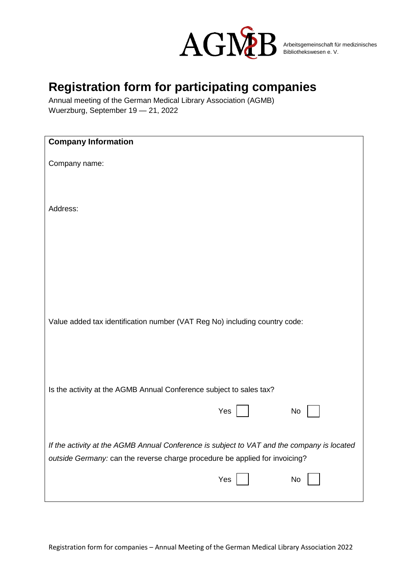

## **Registration form for participating companies**

Annual meeting of the German Medical Library Association (AGMB) Wuerzburg, September 19 — 21, 2022

| <b>Company Information</b>                                                                 |  |  |
|--------------------------------------------------------------------------------------------|--|--|
|                                                                                            |  |  |
| Company name:                                                                              |  |  |
|                                                                                            |  |  |
|                                                                                            |  |  |
|                                                                                            |  |  |
| Address:                                                                                   |  |  |
|                                                                                            |  |  |
|                                                                                            |  |  |
|                                                                                            |  |  |
|                                                                                            |  |  |
|                                                                                            |  |  |
|                                                                                            |  |  |
|                                                                                            |  |  |
|                                                                                            |  |  |
|                                                                                            |  |  |
|                                                                                            |  |  |
| Value added tax identification number (VAT Reg No) including country code:                 |  |  |
|                                                                                            |  |  |
|                                                                                            |  |  |
|                                                                                            |  |  |
|                                                                                            |  |  |
|                                                                                            |  |  |
| Is the activity at the AGMB Annual Conference subject to sales tax?                        |  |  |
|                                                                                            |  |  |
| Yes<br>No                                                                                  |  |  |
|                                                                                            |  |  |
|                                                                                            |  |  |
| If the activity at the AGMB Annual Conference is subject to VAT and the company is located |  |  |
| outside Germany: can the reverse charge procedure be applied for invoicing?                |  |  |
|                                                                                            |  |  |
| Yes<br>No                                                                                  |  |  |
|                                                                                            |  |  |
|                                                                                            |  |  |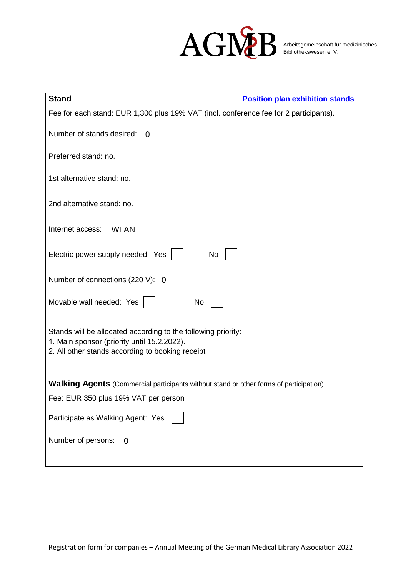

| <b>Stand</b><br><b>Position plan exhibition stands</b>                                                                                                           |
|------------------------------------------------------------------------------------------------------------------------------------------------------------------|
| Fee for each stand: EUR 1,300 plus 19% VAT (incl. conference fee for 2 participants).                                                                            |
| Number of stands desired: 0                                                                                                                                      |
| Preferred stand: no.                                                                                                                                             |
| 1st alternative stand: no.                                                                                                                                       |
| 2nd alternative stand: no.                                                                                                                                       |
| Internet access:<br><b>WLAN</b>                                                                                                                                  |
| Electric power supply needed: Yes<br>No                                                                                                                          |
| Number of connections (220 V): 0                                                                                                                                 |
| Movable wall needed: Yes<br>No                                                                                                                                   |
| Stands will be allocated according to the following priority:<br>1. Main sponsor (priority until 15.2.2022).<br>2. All other stands according to booking receipt |
| <b>Walking Agents</b> (Commercial participants without stand or other forms of participation)                                                                    |
| Fee: EUR 350 plus 19% VAT per person                                                                                                                             |
| Participate as Walking Agent: Yes                                                                                                                                |
| Number of persons:<br>$\overline{0}$                                                                                                                             |
|                                                                                                                                                                  |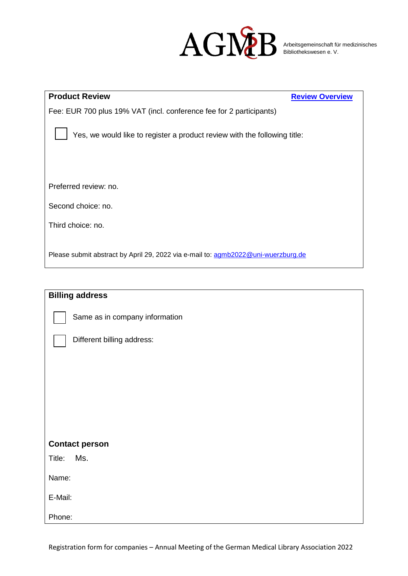

| <b>Product Review</b>                                                             | <b>Review Overview</b> |
|-----------------------------------------------------------------------------------|------------------------|
| Fee: EUR 700 plus 19% VAT (incl. conference fee for 2 participants)               |                        |
| Yes, we would like to register a product review with the following title:         |                        |
| Preferred review: no.                                                             |                        |
| Second choice: no.                                                                |                        |
| Third choice: no.                                                                 |                        |
| Please submit abstract by April 29, 2022 via e-mail to: agmb2022@uni-wuerzburg.de |                        |

| <b>Billing address</b>         |
|--------------------------------|
| Same as in company information |
| Different billing address:     |
|                                |
|                                |
|                                |
|                                |
| <b>Contact person</b>          |
| Ms.<br>Title:                  |
| Name:                          |
| E-Mail:                        |
| Phone:                         |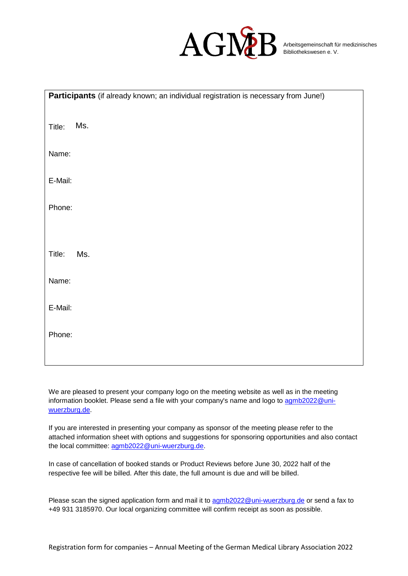

| Participants (if already known; an individual registration is necessary from June!) |
|-------------------------------------------------------------------------------------|
| Ms.<br>Title:                                                                       |
| Name:                                                                               |
| E-Mail:                                                                             |
| Phone:                                                                              |
|                                                                                     |
| Title:<br>Ms.                                                                       |
| Name:                                                                               |
| E-Mail:                                                                             |
| Phone:                                                                              |
|                                                                                     |

We are pleased to present your company logo on the meeting website as well as in the meeting information booklet. Please send a file with your company's name and logo to [agmb2022@uni](mailto:agmb2022@uni-wuerzburg.de)[wuerzburg.de.](mailto:agmb2022@uni-wuerzburg.de)

If you are interested in presenting your company as sponsor of the meeting please refer to the attached information sheet with options and suggestions for sponsoring opportunities and also contact the local committee: [agmb2022@uni-wuerzburg.de.](mailto:agmb2022@uni-wuerzburg.de)

In case of cancellation of booked stands or Product Reviews before June 30, 2022 half of the respective fee will be billed. After this date, the full amount is due and will be billed.

Please scan the signed application form and mail it to [agmb2022@uni-wuerzburg.de](mailto:agmb2022@uni-wuerzburg.de) or send a fax to +49 931 3185970. Our local organizing committee will confirm receipt as soon as possible.